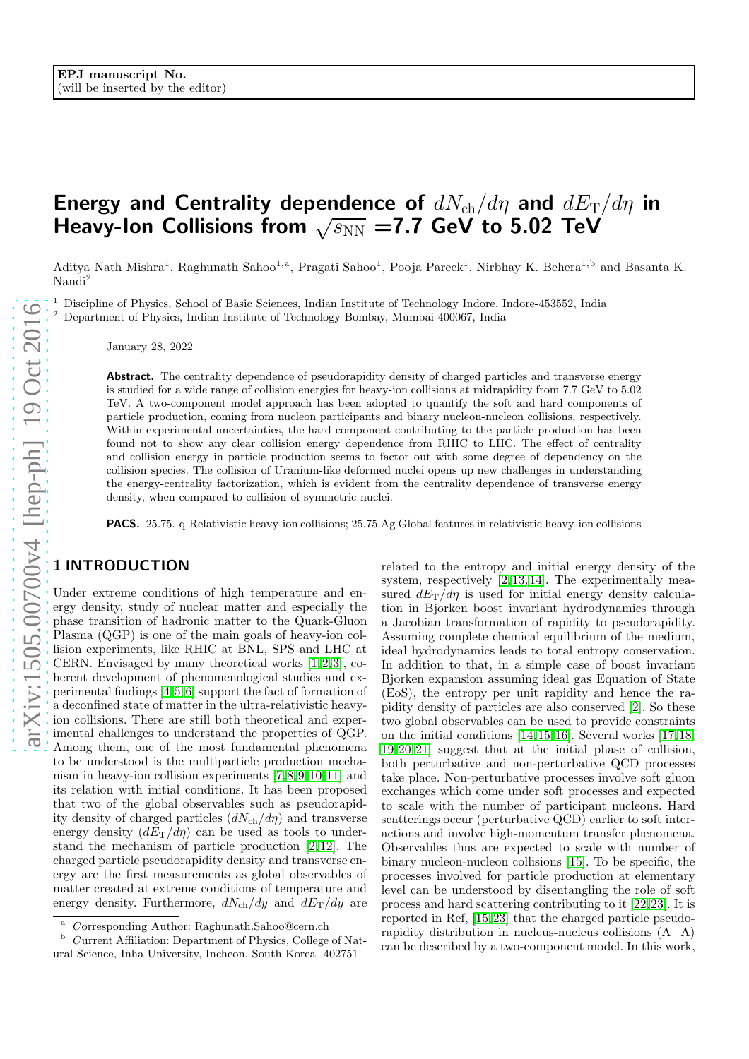# Energy and Centrality dependence of  $dN_{ch}/d\eta$  and  $dE_{\rm T}/d\eta$  in Heavy-Ion Collisions from  $\sqrt{s_{NN}}$  =7.7 GeV to 5.02 TeV

Aditya Nath Mishra<sup>1</sup>, Raghunath Sahoo<sup>1,a</sup>, Pragati Sahoo<sup>1</sup>, Pooja Pareek<sup>1</sup>, Nirbhay K. Behera<sup>1,b</sup> and Basanta K. Nandi 2

<sup>1</sup> Discipline of Physics, School of Basic Sciences, Indian Institute of Technology Indore, Indore-453552, India  $^{2}$  Department of Physics, Indian Institute of Technology Bombay, Mumbai-400067, India

January 28, 2022

Abstract. The centrality dependence of pseudorapidity density of charged particles and transverse energy is studied for a wide range of collision energies for heavy-ion collisions at midrapidity from 7.7 GeV to 5.02 TeV. A two-component model approach has been adopted to quantify the soft and hard components of particle production, coming from nucleon participants and binary nucleon-nucleon collisions, respectively. Within experimental uncertainties, the hard component contributing to the particle production has been found not to show any clear collision energy dependence from RHIC to LHC. The effect of centrality and collision energy in particle production seems to factor out with some degree of dependency on the collision species. The collision of Uranium-like deformed nuclei opens up new challenges in understanding the energy-centrality factorization, which is evident from the centrality dependence of transverse energy density, when compared to collision of symmetric nuclei.

PACS. 25.75.-q Relativistic heavy-ion collisions; 25.75.Ag Global features in relativistic heavy-ion collisions

# 1 INTRODUCTION

Under extreme conditions of high temperature and energy density, study of nuclear matter and especially the phase transition of hadronic matter to the Quark-Gluon Plasma (QGP) is one of the main goals of heavy-ion collision experiments, like RHIC at BNL, SPS and LHC at CERN. Envisaged by many theoretical works [\[1,](#page-6-0)[2,](#page-6-1)[3\]](#page-6-2), coherent development of phenomenological studies and experimental findings [\[4,](#page-6-3)[5,](#page-6-4)[6\]](#page-6-5) support the fact of formation of a deconfined state of matter in the ultra-relativistic heavyion collisions. There are still both theoretical and experimental challenges to understand the properties of QGP. Among them, one of the most fundamental phenomena to be understood is the multiparticle production mechanism in heavy-ion collision experiments [\[7,](#page-6-6)[8,](#page-6-7)[9,](#page-6-8)[10,](#page-6-9)[11\]](#page-6-10) and its relation with initial conditions. It has been proposed that two of the global observables such as pseudorapidity density of charged particles  $(dN_{ch}/d\eta)$  and transverse energy density  $(dE_T/d\eta)$  can be used as tools to understand the mechanism of particle production [\[2,](#page-6-1)[12\]](#page-6-11). The charged particle pseudorapidity density and transverse energy are the first measurements as global observables of matter created at extreme conditions of temperature and energy density. Furthermore,  $dN_{\text{ch}}/dy$  and  $dE_{\text{T}}/dy$  are

related to the entropy and initial energy density of the system, respectively [\[2,](#page-6-1)[13,](#page-6-12)[14\]](#page-6-13). The experimentally measured  $dE_T/d\eta$  is used for initial energy density calculation in Bjorken boost invariant hydrodynamics through a Jacobian transformation of rapidity to pseudorapidity. Assuming complete chemical equilibrium of the medium, ideal hydrodynamics leads to total entropy conservation. In addition to that, in a simple case of boost invariant Bjorken expansion assuming ideal gas Equation of State (EoS), the entropy per unit rapidity and hence the rapidity density of particles are also conserved [\[2\]](#page-6-1). So these two global observables can be used to provide constraints on the initial conditions [\[14,](#page-6-13)[15,](#page-6-14)[16\]](#page-6-15). Several works [\[17,](#page-6-16)[18,](#page-6-17) [19,](#page-6-18)[20,](#page-6-19)[21\]](#page-6-20) suggest that at the initial phase of collision, both perturbative and non-perturbative QCD processes take place. Non-perturbative processes involve soft gluon exchanges which come under soft processes and expected to scale with the number of participant nucleons. Hard scatterings occur (perturbative QCD) earlier to soft interactions and involve high-momentum transfer phenomena. Observables thus are expected to scale with number of binary nucleon-nucleon collisions [\[15\]](#page-6-14). To be specific, the processes involved for particle production at elementary level can be understood by disentangling the role of soft process and hard scattering contributing to it [\[22,](#page-7-0)[23\]](#page-7-1). It is reported in Ref, [\[15,](#page-6-14)[23\]](#page-7-1) that the charged particle pseudorapidity distribution in nucleus-nucleus collisions (A+A) can be described by a two-component model. In this work,

a C orresponding Author: Raghunath.Sahoo@cern.ch

b C urrent Affiliation: Department of Physics, College of Natural Science, Inha University, Incheon, South Korea- 402751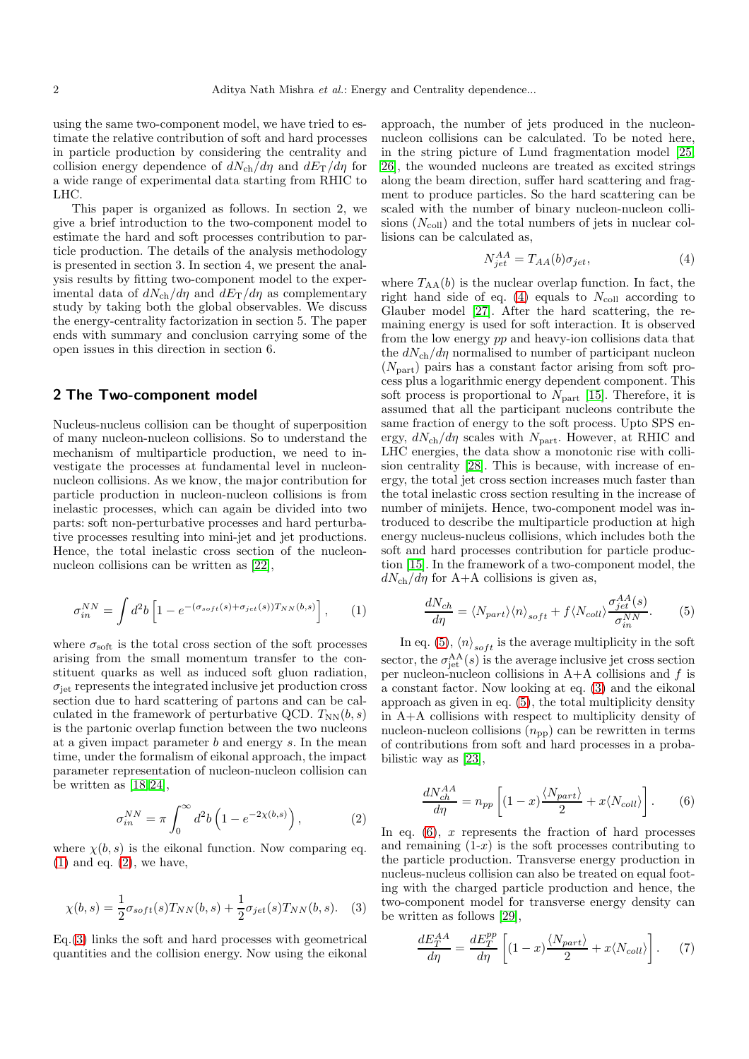using the same two-component model, we have tried to estimate the relative contribution of soft and hard processes in particle production by considering the centrality and collision energy dependence of  $dN_{\rm ch}/d\eta$  and  $dE_{\rm T}/d\eta$  for a wide range of experimental data starting from RHIC to LHC.

This paper is organized as follows. In section 2, we give a brief introduction to the two-component model to estimate the hard and soft processes contribution to particle production. The details of the analysis methodology is presented in section 3. In section 4, we present the analysis results by fitting two-component model to the experimental data of  $dN_{\rm ch}/d\eta$  and  $dE_{\rm T}/d\eta$  as complementary study by taking both the global observables. We discuss the energy-centrality factorization in section 5. The paper ends with summary and conclusion carrying some of the open issues in this direction in section 6.

#### 2 The Two-component model

Nucleus-nucleus collision can be thought of superposition of many nucleon-nucleon collisions. So to understand the mechanism of multiparticle production, we need to investigate the processes at fundamental level in nucleonnucleon collisions. As we know, the major contribution for particle production in nucleon-nucleon collisions is from inelastic processes, which can again be divided into two parts: soft non-perturbative processes and hard perturbative processes resulting into mini-jet and jet productions. Hence, the total inelastic cross section of the nucleonnucleon collisions can be written as [\[22\]](#page-7-0),

<span id="page-1-0"></span>
$$
\sigma_{in}^{NN} = \int d^2b \left[ 1 - e^{-(\sigma_{soft}(s) + \sigma_{jet}(s))T_{NN}(b,s)} \right], \qquad (1)
$$

where  $\sigma_{\text{soft}}$  is the total cross section of the soft processes arising from the small momentum transfer to the constituent quarks as well as induced soft gluon radiation,  $\sigma_{\rm jet}$  represents the integrated inclusive jet production cross section due to hard scattering of partons and can be calculated in the framework of perturbative QCD.  $T_{NN}(b, s)$ is the partonic overlap function between the two nucleons at a given impact parameter  $b$  and energy  $s$ . In the mean time, under the formalism of eikonal approach, the impact parameter representation of nucleon-nucleon collision can be written as  $[18, 24]$  $[18, 24]$ ,

<span id="page-1-1"></span>
$$
\sigma_{in}^{NN} = \pi \int_0^\infty d^2b \left( 1 - e^{-2\chi(b,s)} \right),\tag{2}
$$

where  $\chi(b, s)$  is the eikonal function. Now comparing eq.  $(1)$  and eq.  $(2)$ , we have,

<span id="page-1-2"></span>
$$
\chi(b,s) = \frac{1}{2}\sigma_{soft}(s)T_{NN}(b,s) + \frac{1}{2}\sigma_{jet}(s)T_{NN}(b,s).
$$
 (3)

Eq.[\(3\)](#page-1-2) links the soft and hard processes with geometrical quantities and the collision energy. Now using the eikonal

approach, the number of jets produced in the nucleonnucleon collisions can be calculated. To be noted here, in the string picture of Lund fragmentation model [\[25,](#page-7-3) [26\]](#page-7-4), the wounded nucleons are treated as excited strings along the beam direction, suffer hard scattering and fragment to produce particles. So the hard scattering can be scaled with the number of binary nucleon-nucleon collisions  $(N_{\text{coll}})$  and the total numbers of jets in nuclear collisions can be calculated as,

<span id="page-1-3"></span>
$$
N_{jet}^{AA} = T_{AA}(b)\sigma_{jet},\tag{4}
$$

where  $T_{AA}(b)$  is the nuclear overlap function. In fact, the right hand side of eq. [\(4\)](#page-1-3) equals to  $N_{\text{coll}}$  according to Glauber model [\[27\]](#page-7-5). After the hard scattering, the remaining energy is used for soft interaction. It is observed from the low energy pp and heavy-ion collisions data that the  $dN_{\rm ch}/d\eta$  normalised to number of participant nucleon  $(N_{\text{part}})$  pairs has a constant factor arising from soft process plus a logarithmic energy dependent component. This soft process is proportional to  $N_{part}$  [\[15\]](#page-6-14). Therefore, it is assumed that all the participant nucleons contribute the same fraction of energy to the soft process. Upto SPS energy,  $dN_{\text{ch}}/d\eta$  scales with  $N_{\text{part}}$ . However, at RHIC and LHC energies, the data show a monotonic rise with collision centrality [\[28\]](#page-7-6). This is because, with increase of energy, the total jet cross section increases much faster than the total inelastic cross section resulting in the increase of number of minijets. Hence, two-component model was introduced to describe the multiparticle production at high energy nucleus-nucleus collisions, which includes both the soft and hard processes contribution for particle production [\[15\]](#page-6-14). In the framework of a two-component model, the  $dN_{\rm ch}/d\eta$  for A+A collisions is given as,

<span id="page-1-4"></span>
$$
\frac{dN_{ch}}{d\eta} = \langle N_{part} \rangle \langle n \rangle_{soft} + f \langle N_{coll} \rangle \frac{\sigma_{jet}^{AA}(s)}{\sigma_{in}^{NN}}. \tag{5}
$$

In eq. [\(5\)](#page-1-4),  $\langle n \rangle_{soft}$  is the average multiplicity in the soft sector, the  $\sigma_{\rm jet}^{\rm AA}(s)$  is the average inclusive jet cross section per nucleon-nucleon collisions in  $A+A$  collisions and f is a constant factor. Now looking at eq. [\(3\)](#page-1-2) and the eikonal approach as given in eq. [\(5\)](#page-1-4), the total multiplicity density in A+A collisions with respect to multiplicity density of nucleon-nucleon collisions  $(n_{\text{pp}})$  can be rewritten in terms of contributions from soft and hard processes in a probabilistic way as [\[23\]](#page-7-1),

<span id="page-1-5"></span>
$$
\frac{dN_{ch}^{AA}}{d\eta} = n_{pp} \left[ (1-x) \frac{\langle N_{part} \rangle}{2} + x \langle N_{coll} \rangle \right].
$$
 (6)

In eq.  $(6)$ , x represents the fraction of hard processes and remaining  $(1-x)$  is the soft processes contributing to the particle production. Transverse energy production in nucleus-nucleus collision can also be treated on equal footing with the charged particle production and hence, the two-component model for transverse energy density can be written as follows [\[29\]](#page-7-7),

$$
\frac{dE_T^{AA}}{d\eta} = \frac{dE_T^{pp}}{d\eta} \left[ (1-x) \frac{\langle N_{part} \rangle}{2} + x \langle N_{coll} \rangle \right]. \tag{7}
$$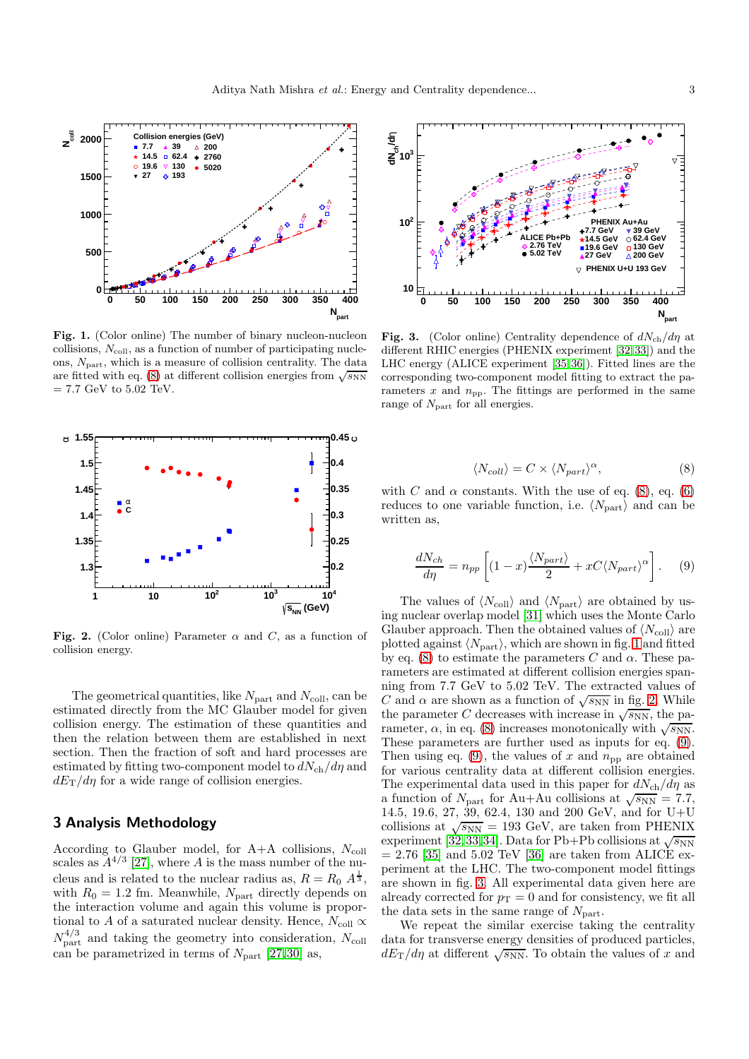

<span id="page-2-1"></span>Fig. 1. (Color online) The number of binary nucleon-nucleon collisions,  $N_{\text{coll}}$ , as a function of number of participating nucleons,  $N_{\text{part}}$ , which is a measure of collision centrality. The data are fitted with eq. [\(8\)](#page-2-0) at different collision energies from  $\sqrt{s_{NN}}$  $= 7.7$  GeV to  $5.02$  TeV.



<span id="page-2-2"></span>Fig. 2. (Color online) Parameter  $\alpha$  and C, as a function of collision energy.

The geometrical quantities, like  $N_{\text{part}}$  and  $N_{\text{coll}}$ , can be estimated directly from the MC Glauber model for given collision energy. The estimation of these quantities and then the relation between them are established in next section. Then the fraction of soft and hard processes are estimated by fitting two-component model to  $dN_{ch}/d\eta$  and  $dE_T/d\eta$  for a wide range of collision energies.

## 3 Analysis Methodology

According to Glauber model, for  $A+A$  collisions,  $N_{\text{coll}}$ scales as  $A^{4/3}$  [\[27\]](#page-7-5), where A is the mass number of the nucleus and is related to the nuclear radius as,  $R = R_0 A^{\frac{1}{3}}$ , with  $R_0 = 1.2$  fm. Meanwhile,  $N_{part}$  directly depends on the interaction volume and again this volume is proportional to  $A$  of a saturated nuclear density. Hence,  $N_{\rm coll} \propto$  $N_{\text{part}}^{4/3}$  and taking the geometry into consideration,  $N_{\text{coll}}$ can be parametrized in terms of  $N_{\text{part}}$  [\[27,](#page-7-5)[30\]](#page-7-8) as,



<span id="page-2-4"></span>Fig. 3. (Color online) Centrality dependence of  $dN_{\rm ch}/d\eta$  at different RHIC energies (PHENIX experiment [\[32,](#page-7-9) [33\]](#page-7-10)) and the LHC energy (ALICE experiment [\[35,](#page-7-11) [36\]](#page-7-12)). Fitted lines are the corresponding two-component model fitting to extract the parameters  $x$  and  $n_{\text{pp}}$ . The fittings are performed in the same range of  $N_{\text{part}}$  for all energies.

<span id="page-2-0"></span>
$$
\langle N_{coll} \rangle = C \times \langle N_{part} \rangle^{\alpha},\tag{8}
$$

with C and  $\alpha$  constants. With the use of eq. [\(8\)](#page-2-0), eq. [\(6\)](#page-1-5) reduces to one variable function, i.e.  $\langle N_{\text{part}} \rangle$  and can be written as,

<span id="page-2-3"></span>
$$
\frac{dN_{ch}}{d\eta} = n_{pp} \left[ (1-x) \frac{\langle N_{part} \rangle}{2} + xC \langle N_{part} \rangle^{\alpha} \right]. \tag{9}
$$

The values of  $\langle N_{\text{coll}} \rangle$  and  $\langle N_{\text{part}} \rangle$  are obtained by using nuclear overlap model [\[31\]](#page-7-13) which uses the Monte Carlo Glauber approach. Then the obtained values of  $\langle N_{\text{coll}} \rangle$  are plotted against  $\langle N_{\text{part}} \rangle$ , which are shown in fig. [1](#page-2-1) and fitted by eq. [\(8\)](#page-2-0) to estimate the parameters C and  $\alpha$ . These parameters are estimated at different collision energies spanning from 7.7 GeV to 5.02 TeV. The extracted values of C and  $\alpha$  are shown as a function of  $\sqrt{s_{NN}}$  in fig. [2.](#page-2-2) While the parameter C decreases with increase in  $\sqrt{s_{NN}}$ , the parameter,  $\alpha$ , in eq. [\(8\)](#page-2-0) increases monotonically with  $\sqrt{s_{NN}}$ . These parameters are further used as inputs for eq. [\(9\)](#page-2-3). Then using eq. [\(9\)](#page-2-3), the values of x and  $n_{\rm pp}$  are obtained for various centrality data at different collision energies. The experimental data used in this paper for  $dN_{\text{ch}}/d\eta$  as a function of  $N_{\text{part}}$  for Au+Au collisions at  $\sqrt{s_{\text{NN}}} = 7.7$ , 14.5, 19.6, 27, 39, 62.4, 130 and 200 GeV, and for U+U collisions at  $\sqrt{s_{NN}} = 193$  GeV, are taken from PHENIX experiment [\[32,](#page-7-9) [33,](#page-7-10) [34\]](#page-7-14). Data for Pb+Pb collisions at  $\sqrt{s_{NN}}$  $= 2.76$  [\[35\]](#page-7-11) and 5.02 TeV [\[36\]](#page-7-12) are taken from ALICE experiment at the LHC. The two-component model fittings are shown in fig. [3.](#page-2-4) All experimental data given here are already corrected for  $p_T = 0$  and for consistency, we fit all the data sets in the same range of  $N_{\text{part}}$ .

We repeat the similar exercise taking the centrality data for transverse energy densities of produced particles,  $dE_{\rm T}/d\eta$  at different  $\sqrt{s_{\rm NN}}$ . To obtain the values of x and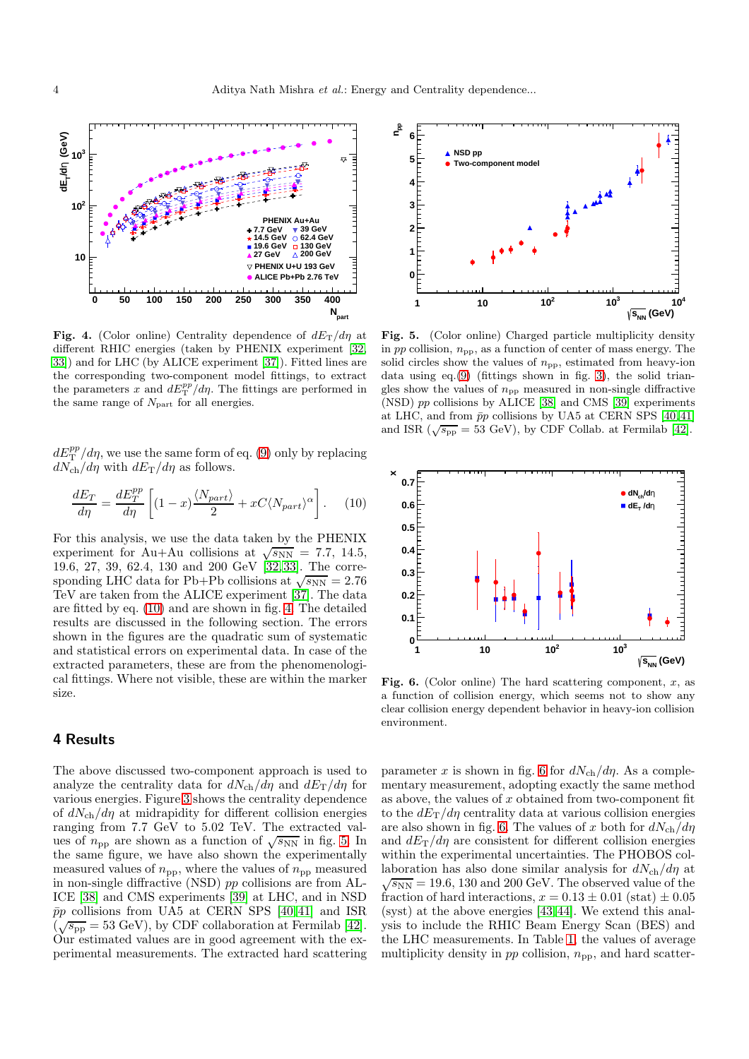

<span id="page-3-1"></span>Fig. 4. (Color online) Centrality dependence of  $dE_T/d\eta$  at different RHIC energies (taken by PHENIX experiment [\[32,](#page-7-9) [33\]](#page-7-10)) and for LHC (by ALICE experiment [\[37\]](#page-7-15)). Fitted lines are the corresponding two-component model fittings, to extract the parameters x and  $dE_{\rm T}^{pp}/d\eta$ . The fittings are performed in the same range of  $N_{\text{part}}$  for all energies.

 $dE_{\rm T}^{pp}/d\eta$ , we use the same form of eq. [\(9\)](#page-2-3) only by replacing  $dN_{\rm ch}/d\eta$  with  $dE_{\rm T}/d\eta$  as follows.

<span id="page-3-0"></span>
$$
\frac{dE_T}{d\eta} = \frac{dE_T^{pp}}{d\eta} \left[ (1-x) \frac{\langle N_{part} \rangle}{2} + xC \langle N_{part} \rangle^{\alpha} \right]. \tag{10}
$$

For this analysis, we use the data taken by the PHENIX experiment for Au+Au collisions at  $\sqrt{s_{NN}}$  = 7.7, 14.5, 19.6, 27, 39, 62.4, 130 and 200 GeV [\[32,](#page-7-9)[33\]](#page-7-10). The corresponding LHC data for Pb+Pb collisions at  $\sqrt{s_{NN}} = 2.76$ TeV are taken from the ALICE experiment [\[37\]](#page-7-15). The data are fitted by eq. [\(10\)](#page-3-0) and are shown in fig. [4.](#page-3-1) The detailed results are discussed in the following section. The errors shown in the figures are the quadratic sum of systematic and statistical errors on experimental data. In case of the extracted parameters, these are from the phenomenological fittings. Where not visible, these are within the marker size.

#### 4 Results

The above discussed two-component approach is used to analyze the centrality data for  $dN_{\rm ch}/d\eta$  and  $dE_{\rm T}/d\eta$  for various energies. Figure [3](#page-2-4) shows the centrality dependence of  $dN_{\rm ch}/d\eta$  at midrapidity for different collision energies ranging from 7.7 GeV to 5.02 TeV. The extracted values of  $n_{\text{pp}}$  are shown as a function of  $\sqrt{s_{NN}}$  in fig. [5.](#page-3-2) In the same figure, we have also shown the experimentally measured values of  $n_{\text{pp}}$ , where the values of  $n_{\text{pp}}$  measured in non-single diffractive (NSD) pp collisions are from AL-ICE [\[38\]](#page-7-16) and CMS experiments [\[39\]](#page-7-17) at LHC, and in NSD  $\bar{p}p$  collisions from UA5 at CERN SPS [\[40,](#page-7-18)[41\]](#page-7-19) and ISR  $(\sqrt{s_{\rm pp}} = 53 \text{ GeV})$ , by CDF collaboration at Fermilab [\[42\]](#page-7-20). Our estimated values are in good agreement with the experimental measurements. The extracted hard scattering



<span id="page-3-2"></span>Fig. 5. (Color online) Charged particle multiplicity density in  $pp$  collision,  $n_{\text{pp}}$ , as a function of center of mass energy. The solid circles show the values of  $n_{\text{pp}}$ , estimated from heavy-ion data using eq.[\(9\)](#page-2-3) (fittings shown in fig. [3\)](#page-2-4), the solid triangles show the values of  $n_{\rm pp}$  measured in non-single diffractive (NSD) pp collisions by ALICE [\[38\]](#page-7-16) and CMS [\[39\]](#page-7-17) experiments at LHC, and from  $\bar{p}p$  collisions by UA5 at CERN SPS [\[40,](#page-7-18)41] and ISR  $(\sqrt{s_{\text{pp}}} = 53 \text{ GeV})$ , by CDF Collab. at Fermilab [\[42\]](#page-7-20).



<span id="page-3-3"></span>Fig. 6. (Color online) The hard scattering component,  $x$ , as a function of collision energy, which seems not to show any clear collision energy dependent behavior in heavy-ion collision environment.

parameter x is shown in fig. [6](#page-3-3) for  $dN_{\rm ch}/d\eta$ . As a complementary measurement, adopting exactly the same method as above, the values of  $x$  obtained from two-component fit to the  $dE_T/d\eta$  centrality data at various collision energies are also shown in fig. [6.](#page-3-3) The values of x both for  $dN_{ch}/d\eta$ and  $dE_T/d\eta$  are consistent for different collision energies within the experimental uncertainties. The PHOBOS collaboration has also done similar analysis for  $dN_{ch}/d\eta$  at  $\sqrt{s_{NN}}$  = 19.6, 130 and 200 GeV. The observed value of the fraction of hard interactions,  $x = 0.13 \pm 0.01$  (stat)  $\pm 0.05$ (syst) at the above energies [\[43,](#page-7-21)[44\]](#page-7-22). We extend this analysis to include the RHIC Beam Energy Scan (BES) and the LHC measurements. In Table [1,](#page-4-0) the values of average multiplicity density in  $pp$  collision,  $n_{\text{pp}}$ , and hard scatter-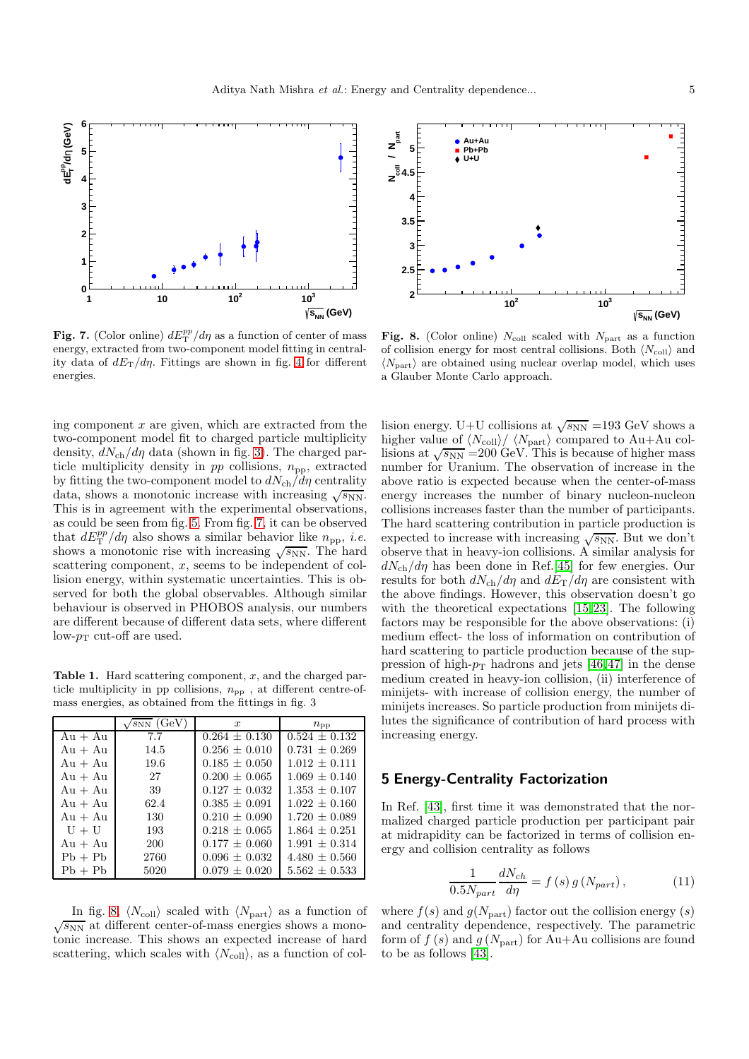

<span id="page-4-1"></span>Fig. 7. (Color online)  $dE_{\rm T}^{pp}/d\eta$  as a function of center of mass energy, extracted from two-component model fitting in centrality data of  $dE_T/d\eta$ . Fittings are shown in fig. [4](#page-3-1) for different energies.

ing component  $x$  are given, which are extracted from the two-component model fit to charged particle multiplicity density,  $dN_{\rm ch}/d\eta$  data (shown in fig. [3\)](#page-2-4). The charged particle multiplicity density in  $pp$  collisions,  $n_{\text{pp}}$ , extracted by fitting the two-component model to  $dN_{\text{ch}}/\tilde{d}\eta$  centrality data, shows a monotonic increase with increasing  $\sqrt{s_{NN}}$ . This is in agreement with the experimental observations, as could be seen from fig. [5.](#page-3-2) From fig. [7,](#page-4-1) it can be observed that  $dE_{\rm T}^{pp}/d\eta$  also shows a similar behavior like  $n_{\rm pp}$ , *i.e.* shows a monotonic rise with increasing  $\sqrt{s_{NN}}$ . The hard scattering component,  $x$ , seems to be independent of collision energy, within systematic uncertainties. This is observed for both the global observables. Although similar behaviour is observed in PHOBOS analysis, our numbers are different because of different data sets, where different low- $p_T$  cut-off are used.

<span id="page-4-0"></span>**Table 1.** Hard scattering component,  $x$ , and the charged particle multiplicity in pp collisions,  $n_{\text{pp}}$ , at different centre-ofmass energies, as obtained from the fittings in fig. 3

|           | $\sqrt{s_{NN}}$ (GeV) | $\boldsymbol{x}$  | $n_{\rm pp}$      |
|-----------|-----------------------|-------------------|-------------------|
| $Au + Au$ | 7.7                   | $0.264 \pm 0.130$ | $0.524 + 0.132$   |
| $Au + Au$ | 14.5                  | $0.256 + 0.010$   | $0.731 + 0.269$   |
| $Au + Au$ | 19.6                  | $0.185 + 0.050$   | $1.012 \pm 0.111$ |
| $Au + Au$ | 27                    | $0.200 + 0.065$   | $1.069 + 0.140$   |
| $Au + Au$ | 39                    | $0.127 + 0.032$   | $1.353 + 0.107$   |
| $Au + Au$ | 62.4                  | $0.385 + 0.091$   | $1.022 \pm 0.160$ |
| $Au + Au$ | 130                   | $0.210 + 0.090$   | $1.720 + 0.089$   |
| $U + U$   | 193                   | $0.218 \pm 0.065$ | $1.864 + 0.251$   |
| $Au + Au$ | 200                   | $0.177 + 0.060$   | $1.991 + 0.314$   |
| $Pb + Pb$ | 2760                  | $0.096 + 0.032$   | $4.480 \pm 0.560$ |
| $Pb + Pb$ | 5020                  | $0.079 \pm 0.020$ | $5.562 + 0.533$   |

In fig. [8,](#page-4-2)  $\langle N_{\text{coll}} \rangle$  scaled with  $\langle N_{\text{part}} \rangle$  as a function of  $\sqrt{s_{NN}}$  at different center-of-mass energies shows a monotonic increase. This shows an expected increase of hard scattering, which scales with  $\langle N_{\text{coll}} \rangle$ , as a function of col-



<span id="page-4-2"></span>Fig. 8. (Color online)  $N_{\text{coll}}$  scaled with  $N_{\text{part}}$  as a function of collision energy for most central collisions. Both  $\langle N_{\text{coll}} \rangle$  and  $\langle N_{\text{part}} \rangle$  are obtained using nuclear overlap model, which uses a Glauber Monte Carlo approach.

lision energy. U+U collisions at  $\sqrt{s_{NN}}$  =193 GeV shows a higher value of  $\langle N_{\text{coll}} \rangle / \langle N_{\text{part}} \rangle$  compared to Au+Au collisions at  $\sqrt{s_{NN}}$  =200 GeV. This is because of higher mass number for Uranium. The observation of increase in the above ratio is expected because when the center-of-mass energy increases the number of binary nucleon-nucleon collisions increases faster than the number of participants. The hard scattering contribution in particle production is expected to increase with increasing  $\sqrt{s_{NN}}$ . But we don't observe that in heavy-ion collisions. A similar analysis for  $dN_{\rm ch}/d\eta$  has been done in Ref.[\[45\]](#page-7-23) for few energies. Our results for both  $dN_{\text{ch}}/d\eta$  and  $dE_{\text{T}}/d\eta$  are consistent with the above findings. However, this observation doesn't go with the theoretical expectations [\[15,](#page-6-14)[23\]](#page-7-1). The following factors may be responsible for the above observations: (i) medium effect- the loss of information on contribution of hard scattering to particle production because of the suppression of high- $p_T$  hadrons and jets [\[46,](#page-7-24)[47\]](#page-7-25) in the dense medium created in heavy-ion collision, (ii) interference of minijets- with increase of collision energy, the number of minijets increases. So particle production from minijets dilutes the significance of contribution of hard process with increasing energy.

#### 5 Energy-Centrality Factorization

In Ref. [\[43\]](#page-7-21), first time it was demonstrated that the normalized charged particle production per participant pair at midrapidity can be factorized in terms of collision energy and collision centrality as follows

<span id="page-4-3"></span>
$$
\frac{1}{0.5N_{part}}\frac{dN_{ch}}{d\eta} = f\left(s\right)g\left(N_{part}\right),\tag{11}
$$

where  $f(s)$  and  $g(N_{part})$  factor out the collision energy  $(s)$ and centrality dependence, respectively. The parametric form of  $f(s)$  and  $g(N_{part})$  for Au+Au collisions are found to be as follows [\[43\]](#page-7-21).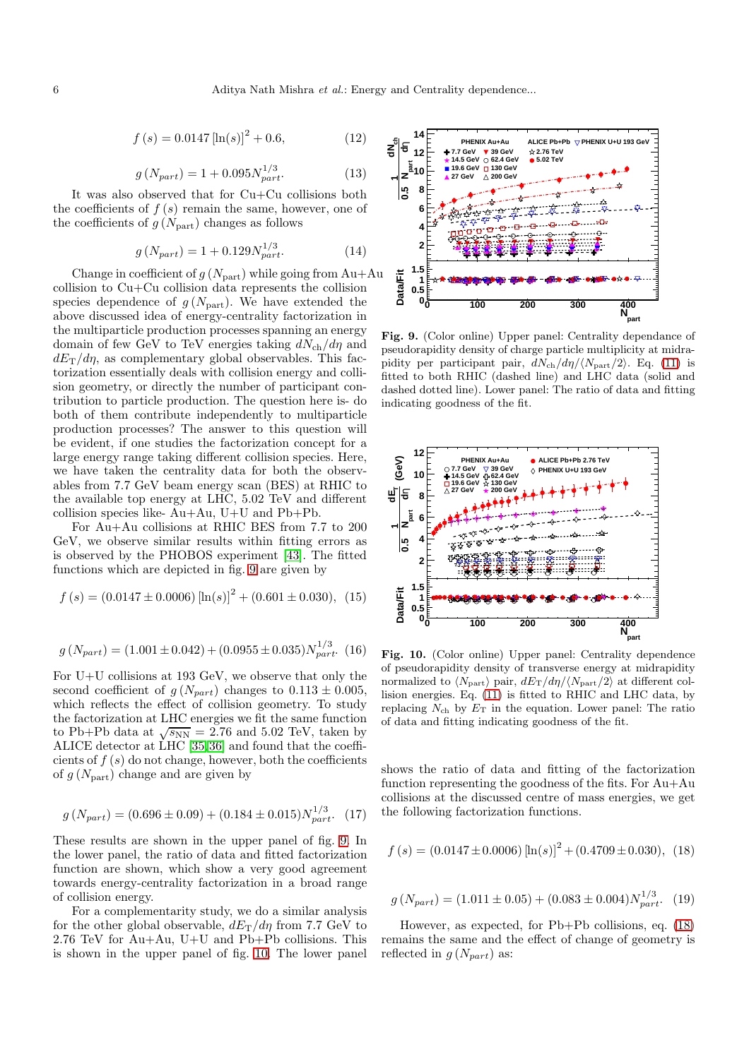$$
f(s) = 0.0147 \left[ \ln(s) \right]^2 + 0.6, \tag{12}
$$

$$
g\left(N_{part}\right) = 1 + 0.095 N_{part}^{1/3}.
$$
 (13)

It was also observed that for Cu+Cu collisions both the coefficients of  $f(s)$  remain the same, however, one of the coefficients of  $g(N_{\text{part}})$  changes as follows

$$
g\left(N_{part}\right) = 1 + 0.129 N_{part}^{1/3}.
$$
 (14)

Change in coefficient of  $g(N_{part})$  while going from Au+Au collision to Cu+Cu collision data represents the collision species dependence of  $g(N_{\text{part}})$ . We have extended the above discussed idea of energy-centrality factorization in the multiparticle production processes spanning an energy domain of few GeV to TeV energies taking  $dN_{\rm ch}/d\eta$  and  $dE_T/d\eta$ , as complementary global observables. This factorization essentially deals with collision energy and collision geometry, or directly the number of participant contribution to particle production. The question here is- do both of them contribute independently to multiparticle production processes? The answer to this question will be evident, if one studies the factorization concept for a large energy range taking different collision species. Here, we have taken the centrality data for both the observables from 7.7 GeV beam energy scan (BES) at RHIC to the available top energy at LHC, 5.02 TeV and different collision species like- Au+Au, U+U and Pb+Pb.

For Au+Au collisions at RHIC BES from 7.7 to 200 GeV, we observe similar results within fitting errors as is observed by the PHOBOS experiment [\[43\]](#page-7-21). The fitted functions which are depicted in fig. [9](#page-5-0) are given by

$$
f(s) = (0.0147 \pm 0.0006) [\ln(s)]^{2} + (0.601 \pm 0.030), (15)
$$

$$
g(N_{part}) = (1.001 \pm 0.042) + (0.0955 \pm 0.035)N_{part}^{1/3}.
$$
 (16)

For U+U collisions at 193 GeV, we observe that only the second coefficient of  $g(N_{part})$  changes to  $0.113 \pm 0.005$ , which reflects the effect of collision geometry. To study the factorization at LHC energies we fit the same function to Pb+Pb data at  $\sqrt{s_{NN}} = 2.76$  and 5.02 TeV, taken by ALICE detector at LHC [\[35,](#page-7-11)[36\]](#page-7-12) and found that the coefficients of  $f(s)$  do not change, however, both the coefficients of  $g(N_{part})$  change and are given by

$$
g(N_{part}) = (0.696 \pm 0.09) + (0.184 \pm 0.015)N_{part}^{1/3}.
$$
 (17)

These results are shown in the upper panel of fig. [9.](#page-5-0) In the lower panel, the ratio of data and fitted factorization function are shown, which show a very good agreement towards energy-centrality factorization in a broad range of collision energy.

For a complementarity study, we do a similar analysis for the other global observable,  $dE_T/d\eta$  from 7.7 GeV to 2.76 TeV for Au+Au, U+U and Pb+Pb collisions. This is shown in the upper panel of fig. [10.](#page-5-1) The lower panel



<span id="page-5-0"></span>Fig. 9. (Color online) Upper panel: Centrality dependance of pseudorapidity density of charge particle multiplicity at midrapidity per participant pair,  $dN_{\rm ch}/d\eta/\langle N_{\rm part}/2\rangle$ . Eq. [\(11\)](#page-4-3) is fitted to both RHIC (dashed line) and LHC data (solid and dashed dotted line). Lower panel: The ratio of data and fitting indicating goodness of the fit.



<span id="page-5-1"></span>Fig. 10. (Color online) Upper panel: Centrality dependence of pseudorapidity density of transverse energy at midrapidity normalized to  $\langle N_{\text{part}} \rangle$  pair,  $dE_T/d\eta / \langle N_{\text{part}}/2 \rangle$  at different collision energies. Eq. [\(11\)](#page-4-3) is fitted to RHIC and LHC data, by replacing  $N_{\rm ch}$  by  $E_{\rm T}$  in the equation. Lower panel: The ratio of data and fitting indicating goodness of the fit.

shows the ratio of data and fitting of the factorization function representing the goodness of the fits. For Au+Au collisions at the discussed centre of mass energies, we get the following factorization functions.

<span id="page-5-2"></span>
$$
f(s) = (0.0147 \pm 0.0006) [\ln(s)]^{2} + (0.4709 \pm 0.030), (18)
$$

$$
g(N_{part}) = (1.011 \pm 0.05) + (0.083 \pm 0.004)N_{part}^{1/3}.
$$
 (19)

However, as expected, for Pb+Pb collisions, eq. [\(18\)](#page-5-2) remains the same and the effect of change of geometry is reflected in  $g(N_{part})$  as: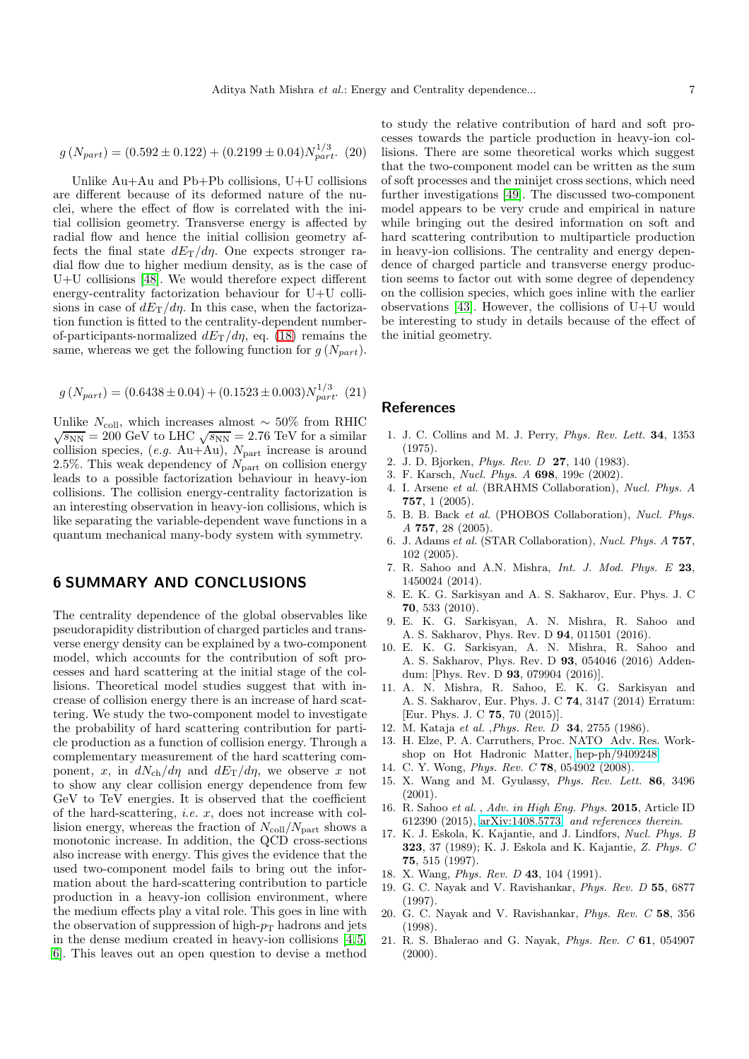$$
g(N_{part}) = (0.592 \pm 0.122) + (0.2199 \pm 0.04)N_{part}^{1/3}.
$$
 (20)

Unlike Au+Au and Pb+Pb collisions, U+U collisions are different because of its deformed nature of the nuclei, where the effect of flow is correlated with the initial collision geometry. Transverse energy is affected by radial flow and hence the initial collision geometry affects the final state  $dE_T/d\eta$ . One expects stronger radial flow due to higher medium density, as is the case of U+U collisions [\[48\]](#page-7-26). We would therefore expect different energy-centrality factorization behaviour for U+U collisions in case of  $dE_T/d\eta$ . In this case, when the factorization function is fitted to the centrality-dependent numberof-participants-normalized  $dE_T/d\eta$ , eq. [\(18\)](#page-5-2) remains the same, whereas we get the following function for  $g(N_{part})$ .

$$
g(N_{part}) = (0.6438 \pm 0.04) + (0.1523 \pm 0.003)N_{part}^{1/3}.
$$
 (21)

Unlike  $N_{\text{coll}}$ , which increases almost ~ 50% from RHIC  $\sqrt{s_{NN}} = 200$  GeV to LHC  $\sqrt{s_{NN}} = 2.76$  TeV for a similar collision species,  $(e.g. \text{ Au}+\text{Au})$ ,  $N_{\text{part}}$  increase is around 2.5%. This weak dependency of  $N_{\text{part}}$  on collision energy leads to a possible factorization behaviour in heavy-ion collisions. The collision energy-centrality factorization is an interesting observation in heavy-ion collisions, which is like separating the variable-dependent wave functions in a quantum mechanical many-body system with symmetry.

## 6 SUMMARY AND CONCLUSIONS

The centrality dependence of the global observables like pseudorapidity distribution of charged particles and transverse energy density can be explained by a two-component model, which accounts for the contribution of soft processes and hard scattering at the initial stage of the collisions. Theoretical model studies suggest that with increase of collision energy there is an increase of hard scattering. We study the two-component model to investigate the probability of hard scattering contribution for particle production as a function of collision energy. Through a complementary measurement of the hard scattering component, x, in  $dN_{\rm ch}/d\eta$  and  $dE_{\rm T}/d\eta$ , we observe x not to show any clear collision energy dependence from few GeV to TeV energies. It is observed that the coefficient of the hard-scattering, i.e. x, does not increase with collision energy, whereas the fraction of  $N_{\text{coll}}/N_{\text{part}}$  shows a monotonic increase. In addition, the QCD cross-sections also increase with energy. This gives the evidence that the used two-component model fails to bring out the information about the hard-scattering contribution to particle production in a heavy-ion collision environment, where the medium effects play a vital role. This goes in line with the observation of suppression of high- $p<sub>T</sub>$  hadrons and jets in the dense medium created in heavy-ion collisions [\[4,](#page-6-3)[5,](#page-6-4) [6\]](#page-6-5). This leaves out an open question to devise a method

to study the relative contribution of hard and soft processes towards the particle production in heavy-ion collisions. There are some theoretical works which suggest that the two-component model can be written as the sum of soft processes and the minijet cross sections, which need further investigations [\[49\]](#page-7-27). The discussed two-component model appears to be very crude and empirical in nature while bringing out the desired information on soft and hard scattering contribution to multiparticle production in heavy-ion collisions. The centrality and energy dependence of charged particle and transverse energy production seems to factor out with some degree of dependency on the collision species, which goes inline with the earlier observations [\[43\]](#page-7-21). However, the collisions of U+U would be interesting to study in details because of the effect of the initial geometry.

### **References**

- <span id="page-6-0"></span>1. J. C. Collins and M. J. Perry, Phys. Rev. Lett. 34, 1353 (1975).
- <span id="page-6-2"></span><span id="page-6-1"></span>2. J. D. Bjorken, Phys. Rev. D 27, 140 (1983).
- <span id="page-6-3"></span>3. F. Karsch, Nucl. Phys. A 698, 199c (2002).
- 4. I. Arsene et al. (BRAHMS Collaboration), Nucl. Phys. A 757, 1 (2005).
- <span id="page-6-4"></span>5. B. B. Back et al. (PHOBOS Collaboration), Nucl. Phys. A 757, 28 (2005).
- <span id="page-6-5"></span>6. J. Adams et al. (STAR Collaboration), Nucl. Phys. A 757, 102 (2005).
- <span id="page-6-6"></span>7. R. Sahoo and A.N. Mishra, Int. J. Mod. Phys. E 23, 1450024 (2014).
- <span id="page-6-7"></span>8. E. K. G. Sarkisyan and A. S. Sakharov, Eur. Phys. J. C 70, 533 (2010).
- <span id="page-6-8"></span>9. E. K. G. Sarkisyan, A. N. Mishra, R. Sahoo and A. S. Sakharov, Phys. Rev. D 94, 011501 (2016).
- <span id="page-6-9"></span>10. E. K. G. Sarkisyan, A. N. Mishra, R. Sahoo and A. S. Sakharov, Phys. Rev. D 93, 054046 (2016) Addendum: [Phys. Rev. D 93, 079904 (2016)].
- <span id="page-6-10"></span>11. A. N. Mishra, R. Sahoo, E. K. G. Sarkisyan and A. S. Sakharov, Eur. Phys. J. C 74, 3147 (2014) Erratum: [Eur. Phys. J. C 75, 70 (2015)].
- <span id="page-6-12"></span><span id="page-6-11"></span>12. M. Kataja et al. ,Phys. Rev. D 34, 2755 (1986).
- 13. H. Elze, P. A. Carruthers, Proc. NATO Adv. Res. Workshop on Hot Hadronic Matter, [hep-ph/9409248.](http://arxiv.org/abs/hep-ph/9409248)
- <span id="page-6-14"></span><span id="page-6-13"></span>14. C. Y. Wong, Phys. Rev. C 78, 054902 (2008).
- 15. X. Wang and M. Gyulassy, Phys. Rev. Lett. 86, 3496 (2001).
- <span id="page-6-15"></span>16. R. Sahoo et al. , Adv. in High Eng. Phys. 2015, Article ID 612390 (2015), [arXiv:1408.5773](http://arxiv.org/abs/1408.5773) and references therein.
- <span id="page-6-16"></span>17. K. J. Eskola, K. Kajantie, and J. Lindfors, Nucl. Phys. B 323, 37 (1989); K. J. Eskola and K. Kajantie, Z. Phys. C 75, 515 (1997).
- <span id="page-6-18"></span><span id="page-6-17"></span>18. X. Wang, *Phys. Rev. D* 43, 104 (1991).
- 19. G. C. Nayak and V. Ravishankar, Phys. Rev. D 55, 6877 (1997).
- <span id="page-6-19"></span>20. G. C. Nayak and V. Ravishankar, Phys. Rev. C 58, 356 (1998).
- <span id="page-6-20"></span>21. R. S. Bhalerao and G. Nayak, Phys. Rev. C 61, 054907 (2000).